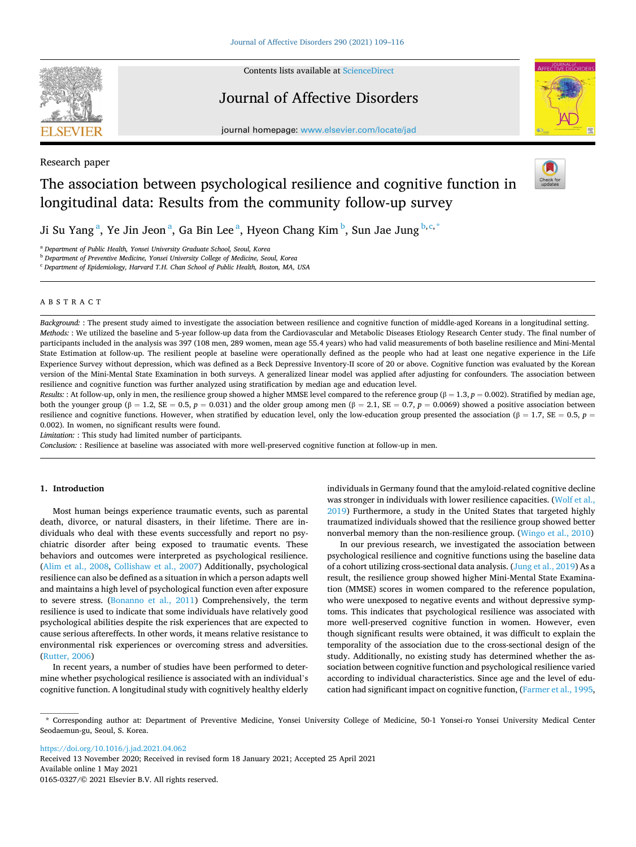

Research paper

Contents lists available at [ScienceDirect](www.sciencedirect.com/science/journal/01650327)

# Journal of Affective Disorders



journal homepage: [www.elsevier.com/locate/jad](https://www.elsevier.com/locate/jad)

# The association between psychological resilience and cognitive function in longitudinal data: Results from the community follow-up survey



Ji Su Yang $^{\rm a}$ , Ye Jin Jeon $^{\rm a}$ , Ga Bin Lee $^{\rm a}$ , Hyeon Chang Kim $^{\rm b}$ , Sun Jae Jung $^{\rm b,c,*}$ 

<sup>a</sup> *Department of Public Health, Yonsei University Graduate School, Seoul, Korea* 

<sup>b</sup> *Department of Preventive Medicine, Yonsei University College of Medicine, Seoul, Korea* 

<sup>c</sup> *Department of Epidemiology, Harvard T.H. Chan School of Public Health, Boston, MA, USA* 

# ABSTRACT

*Background:* : The present study aimed to investigate the association between resilience and cognitive function of middle-aged Koreans in a longitudinal setting. *Methods:* : We utilized the baseline and 5-year follow-up data from the Cardiovascular and Metabolic Diseases Etiology Research Center study. The final number of participants included in the analysis was 397 (108 men, 289 women, mean age 55.4 years) who had valid measurements of both baseline resilience and Mini-Mental State Estimation at follow-up. The resilient people at baseline were operationally defined as the people who had at least one negative experience in the Life Experience Survey without depression, which was defined as a Beck Depressive Inventory-II score of 20 or above. Cognitive function was evaluated by the Korean version of the Mini-Mental State Examination in both surveys. A generalized linear model was applied after adjusting for confounders. The association between resilience and cognitive function was further analyzed using stratification by median age and education level.

*Results:* : At follow-up, only in men, the resilience group showed a higher MMSE level compared to the reference group ( $\beta = 1.3$ ,  $p = 0.002$ ). Stratified by median age, both the younger group (β = 1.2, SE = 0.5,  $p = 0.031$ ) and the older group among men (β = 2.1, SE = 0.7,  $p = 0.0069$ ) showed a positive association between resilience and cognitive functions. However, when stratified by education level, only the low-education group presented the association (β = 1.7, SE = 0.5,  $p =$ 0.002). In women, no significant results were found.

*Limitation:* : This study had limited number of participants.

*Conclusion:* : Resilience at baseline was associated with more well-preserved cognitive function at follow-up in men.

# **1. Introduction**

Most human beings experience traumatic events, such as parental death, divorce, or natural disasters, in their lifetime. There are individuals who deal with these events successfully and report no psychiatric disorder after being exposed to traumatic events. These behaviors and outcomes were interpreted as psychological resilience. ([Alim et al., 2008,](#page-6-0) [Collishaw et al., 2007\)](#page-6-0) Additionally, psychological resilience can also be defined as a situation in which a person adapts well and maintains a high level of psychological function even after exposure to severe stress. ([Bonanno et al., 2011\)](#page-6-0) Comprehensively, the term resilience is used to indicate that some individuals have relatively good psychological abilities despite the risk experiences that are expected to cause serious aftereffects. In other words, it means relative resistance to environmental risk experiences or overcoming stress and adversities. ([Rutter, 2006](#page-6-0))

In recent years, a number of studies have been performed to determine whether psychological resilience is associated with an individual's cognitive function. A longitudinal study with cognitively healthy elderly individuals in Germany found that the amyloid-related cognitive decline was stronger in individuals with lower resilience capacities. ([Wolf et al.,](#page-6-0)  [2019\)](#page-6-0) Furthermore, a study in the United States that targeted highly traumatized individuals showed that the resilience group showed better nonverbal memory than the non-resilience group. ([Wingo et al., 2010](#page-6-0))

In our previous research, we investigated the association between psychological resilience and cognitive functions using the baseline data of a cohort utilizing cross-sectional data analysis. [\(Jung et al., 2019\)](#page-7-0) As a result, the resilience group showed higher Mini-Mental State Examination (MMSE) scores in women compared to the reference population, who were unexposed to negative events and without depressive symptoms. This indicates that psychological resilience was associated with more well-preserved cognitive function in women. However, even though significant results were obtained, it was difficult to explain the temporality of the association due to the cross-sectional design of the study. Additionally, no existing study has determined whether the association between cognitive function and psychological resilience varied according to individual characteristics. Since age and the level of education had significant impact on cognitive function, ([Farmer et al., 1995](#page-6-0),

<https://doi.org/10.1016/j.jad.2021.04.062>

Available online 1 May 2021 0165-0327/© 2021 Elsevier B.V. All rights reserved. Received 13 November 2020; Received in revised form 18 January 2021; Accepted 25 April 2021

<sup>\*</sup> Corresponding author at: Department of Preventive Medicine, Yonsei University College of Medicine, 50-1 Yonsei-ro Yonsei University Medical Center Seodaemun-gu, Seoul, S. Korea.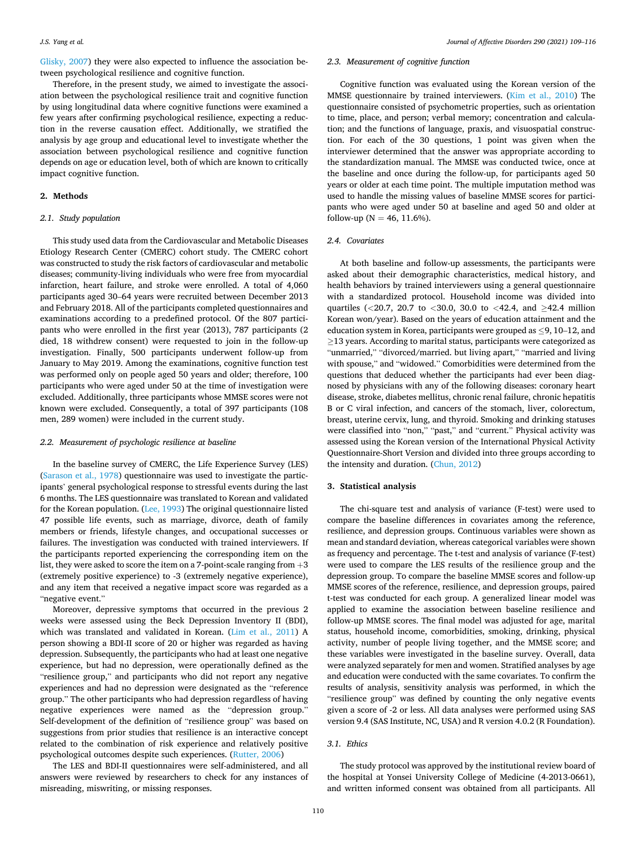[Glisky, 2007\)](#page-6-0) they were also expected to influence the association between psychological resilience and cognitive function.

Therefore, in the present study, we aimed to investigate the association between the psychological resilience trait and cognitive function by using longitudinal data where cognitive functions were examined a few years after confirming psychological resilience, expecting a reduction in the reverse causation effect. Additionally, we stratified the analysis by age group and educational level to investigate whether the association between psychological resilience and cognitive function depends on age or education level, both of which are known to critically impact cognitive function.

#### **2. Methods**

#### *2.1. Study population*

This study used data from the Cardiovascular and Metabolic Diseases Etiology Research Center (CMERC) cohort study. The CMERC cohort was constructed to study the risk factors of cardiovascular and metabolic diseases; community-living individuals who were free from myocardial infarction, heart failure, and stroke were enrolled. A total of 4,060 participants aged 30–64 years were recruited between December 2013 and February 2018. All of the participants completed questionnaires and examinations according to a predefined protocol. Of the 807 participants who were enrolled in the first year (2013), 787 participants (2 died, 18 withdrew consent) were requested to join in the follow-up investigation. Finally, 500 participants underwent follow-up from January to May 2019. Among the examinations, cognitive function test was performed only on people aged 50 years and older; therefore, 100 participants who were aged under 50 at the time of investigation were excluded. Additionally, three participants whose MMSE scores were not known were excluded. Consequently, a total of 397 participants (108 men, 289 women) were included in the current study.

#### *2.2. Measurement of psychologic resilience at baseline*

In the baseline survey of CMERC, the Life Experience Survey (LES) ([Sarason et al., 1978](#page-6-0)) questionnaire was used to investigate the participants' general psychological response to stressful events during the last 6 months. The LES questionnaire was translated to Korean and validated for the Korean population. [\(Lee, 1993\)](#page-6-0) The original questionnaire listed 47 possible life events, such as marriage, divorce, death of family members or friends, lifestyle changes, and occupational successes or failures. The investigation was conducted with trained interviewers. If the participants reported experiencing the corresponding item on the list, they were asked to score the item on a 7-point-scale ranging from  $+3$ (extremely positive experience) to -3 (extremely negative experience), and any item that received a negative impact score was regarded as a "negative event."

Moreover, depressive symptoms that occurred in the previous 2 weeks were assessed using the Beck Depression Inventory II (BDI), which was translated and validated in Korean. ([Lim et al., 2011\)](#page-6-0) A person showing a BDI-II score of 20 or higher was regarded as having depression. Subsequently, the participants who had at least one negative experience, but had no depression, were operationally defined as the "resilience group," and participants who did not report any negative experiences and had no depression were designated as the "reference group." The other participants who had depression regardless of having negative experiences were named as the "depression group." Self-development of the definition of "resilience group" was based on suggestions from prior studies that resilience is an interactive concept related to the combination of risk experience and relatively positive psychological outcomes despite such experiences. [\(Rutter, 2006](#page-6-0))

The LES and BDI-II questionnaires were self-administered, and all answers were reviewed by researchers to check for any instances of misreading, miswriting, or missing responses.

# *2.3. Measurement of cognitive function*

Cognitive function was evaluated using the Korean version of the MMSE questionnaire by trained interviewers. ([Kim et al., 2010\)](#page-6-0) The questionnaire consisted of psychometric properties, such as orientation to time, place, and person; verbal memory; concentration and calculation; and the functions of language, praxis, and visuospatial construction. For each of the 30 questions, 1 point was given when the interviewer determined that the answer was appropriate according to the standardization manual. The MMSE was conducted twice, once at the baseline and once during the follow-up, for participants aged 50 years or older at each time point. The multiple imputation method was used to handle the missing values of baseline MMSE scores for participants who were aged under 50 at baseline and aged 50 and older at follow-up ( $N = 46, 11.6\%$ ).

# *2.4. Covariates*

At both baseline and follow-up assessments, the participants were asked about their demographic characteristics, medical history, and health behaviors by trained interviewers using a general questionnaire with a standardized protocol. Household income was divided into quartiles (*<*20.7, 20.7 to *<*30.0, 30.0 to *<*42.4, and ≥42.4 million Korean won/year). Based on the years of education attainment and the education system in Korea, participants were grouped as ≤9, 10–12, and ≥13 years. According to marital status, participants were categorized as "unmarried," "divorced/married. but living apart," "married and living with spouse," and "widowed." Comorbidities were determined from the questions that deduced whether the participants had ever been diagnosed by physicians with any of the following diseases: coronary heart disease, stroke, diabetes mellitus, chronic renal failure, chronic hepatitis B or C viral infection, and cancers of the stomach, liver, colorectum, breast, uterine cervix, lung, and thyroid. Smoking and drinking statuses were classified into "non," "past," and "current." Physical activity was assessed using the Korean version of the International Physical Activity Questionnaire-Short Version and divided into three groups according to the intensity and duration. [\(Chun, 2012\)](#page-6-0)

#### **3. Statistical analysis**

The chi-square test and analysis of variance (F-test) were used to compare the baseline differences in covariates among the reference, resilience, and depression groups. Continuous variables were shown as mean and standard deviation, whereas categorical variables were shown as frequency and percentage. The t-test and analysis of variance (F-test) were used to compare the LES results of the resilience group and the depression group. To compare the baseline MMSE scores and follow-up MMSE scores of the reference, resilience, and depression groups, paired t-test was conducted for each group. A generalized linear model was applied to examine the association between baseline resilience and follow-up MMSE scores. The final model was adjusted for age, marital status, household income, comorbidities, smoking, drinking, physical activity, number of people living together, and the MMSE score; and these variables were investigated in the baseline survey. Overall, data were analyzed separately for men and women. Stratified analyses by age and education were conducted with the same covariates. To confirm the results of analysis, sensitivity analysis was performed, in which the "resilience group" was defined by counting the only negative events given a score of -2 or less. All data analyses were performed using SAS version 9.4 (SAS Institute, NC, USA) and R version 4.0.2 (R Foundation).

# *3.1. Ethics*

The study protocol was approved by the institutional review board of the hospital at Yonsei University College of Medicine (4-2013-0661), and written informed consent was obtained from all participants. All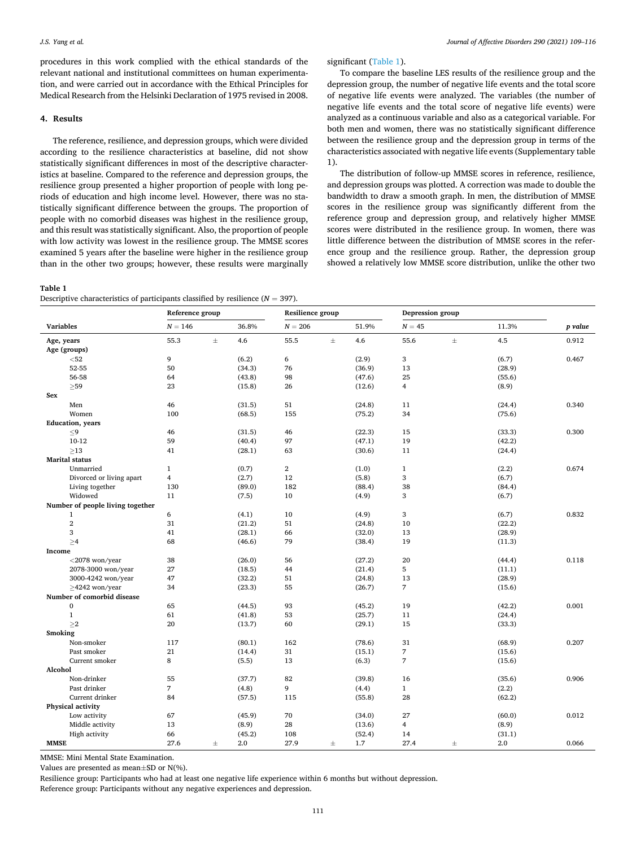procedures in this work complied with the ethical standards of the relevant national and institutional committees on human experimentation, and were carried out in accordance with the Ethical Principles for Medical Research from the Helsinki Declaration of 1975 revised in 2008.

#### **4. Results**

The reference, resilience, and depression groups, which were divided according to the resilience characteristics at baseline, did not show statistically significant differences in most of the descriptive characteristics at baseline. Compared to the reference and depression groups, the resilience group presented a higher proportion of people with long periods of education and high income level. However, there was no statistically significant difference between the groups. The proportion of people with no comorbid diseases was highest in the resilience group, and this result was statistically significant. Also, the proportion of people with low activity was lowest in the resilience group. The MMSE scores examined 5 years after the baseline were higher in the resilience group than in the other two groups; however, these results were marginally

#### **Table 1**

Descriptive characteristics of participants classified by resilience  $(N = 397)$ .

significant (Table 1).

To compare the baseline LES results of the resilience group and the depression group, the number of negative life events and the total score of negative life events were analyzed. The variables (the number of negative life events and the total score of negative life events) were analyzed as a continuous variable and also as a categorical variable. For both men and women, there was no statistically significant difference between the resilience group and the depression group in terms of the characteristics associated with negative life events (Supplementary table 1).

The distribution of follow-up MMSE scores in reference, resilience, and depression groups was plotted. A correction was made to double the bandwidth to draw a smooth graph. In men, the distribution of MMSE scores in the resilience group was significantly different from the reference group and depression group, and relatively higher MMSE scores were distributed in the resilience group. In women, there was little difference between the distribution of MMSE scores in the reference group and the resilience group. Rather, the depression group showed a relatively low MMSE score distribution, unlike the other two

|                  |                                            | Reference group         |          |        | Resilience group |          |        | Depression group         |          |        |         |
|------------------|--------------------------------------------|-------------------------|----------|--------|------------------|----------|--------|--------------------------|----------|--------|---------|
| <b>Variables</b> |                                            | $N = 146$               |          | 36.8%  | $N = 206$        |          | 51.9%  | $N = 45$                 |          | 11.3%  | p value |
| Age, years       |                                            | 55.3                    | $_{\pm}$ | 4.6    | 55.5             | $\pm$    | 4.6    | 55.6                     | $\pm$    | 4.5    | 0.912   |
|                  | Age (groups)                               |                         |          |        |                  |          |        |                          |          |        |         |
|                  | $52$                                       | 9                       |          | (6.2)  | 6                |          | (2.9)  | 3                        |          | (6.7)  | 0.467   |
|                  | 52-55                                      | 50                      |          | (34.3) | 76               |          | (36.9) | 13                       |          | (28.9) |         |
|                  | 56-58                                      | 64                      |          | (43.8) | 98               |          | (47.6) | 25                       |          | (55.6) |         |
|                  | $\geq$ 59                                  | 23                      |          | (15.8) | 26               |          | (12.6) | 4                        |          | (8.9)  |         |
| Sex              |                                            |                         |          |        |                  |          |        |                          |          |        |         |
|                  | Men                                        | 46                      |          | (31.5) | 51               |          | (24.8) | 11                       |          | (24.4) | 0.340   |
|                  | Women                                      | 100                     |          | (68.5) | 155              |          | (75.2) | 34                       |          | (75.6) |         |
|                  | <b>Education</b> , years                   |                         |          |        |                  |          |        |                          |          |        |         |
|                  | $\leq$ 9                                   | 46                      |          | (31.5) | 46               |          | (22.3) | 15                       |          | (33.3) | 0.300   |
|                  | 10-12                                      | 59                      |          | (40.4) | 97               |          | (47.1) | 19                       |          | (42.2) |         |
|                  | $\geq$ 13                                  | 41                      |          | (28.1) | 63               |          | (30.6) | 11                       |          | (24.4) |         |
|                  | <b>Marital</b> status                      |                         |          |        |                  |          |        |                          |          |        |         |
|                  | Unmarried                                  | $\mathbf{1}$            |          | (0.7)  | $\overline{2}$   |          | (1.0)  | $\mathbf{1}$             |          | (2.2)  | 0.674   |
|                  | Divorced or living apart                   | $\overline{\mathbf{4}}$ |          | (2.7)  | 12               |          | (5.8)  | 3                        |          | (6.7)  |         |
|                  | Living together                            | 130                     |          | (89.0) | 182              |          | (88.4) | 38                       |          | (84.4) |         |
|                  | Widowed                                    | 11                      |          | (7.5)  | 10               |          | (4.9)  | 3                        |          | (6.7)  |         |
|                  | Number of people living together           |                         |          |        |                  |          |        |                          |          |        |         |
|                  | 1                                          | 6                       |          | (4.1)  | 10               |          | (4.9)  | 3                        |          | (6.7)  | 0.832   |
|                  | $\overline{2}$                             | 31                      |          | (21.2) | 51               |          | (24.8) | 10                       |          | (22.2) |         |
|                  | 3                                          | 41                      |          | (28.1) | 66               |          | (32.0) | 13                       |          | (28.9) |         |
|                  | $\geq 4$                                   | 68                      |          | (46.6) | 79               |          | (38.4) | 19                       |          | (11.3) |         |
| Income           |                                            |                         |          |        |                  |          |        |                          |          |        |         |
|                  | $<$ 2078 won/year                          | 38                      |          | (26.0) | 56               |          | (27.2) | 20                       |          | (44.4) | 0.118   |
|                  | 2078-3000 won/year                         | 27                      |          | (18.5) | 44               |          | (21.4) | 5                        |          | (11.1) |         |
|                  | 3000-4242 won/year                         | 47                      |          | (32.2) | 51               |          | (24.8) | 13                       |          | (28.9) |         |
|                  |                                            | 34                      |          |        | 55               |          |        | $\overline{7}$           |          |        |         |
|                  | $\geq$ 4242 won/year                       |                         |          | (23.3) |                  |          | (26.7) |                          |          | (15.6) |         |
|                  | Number of comorbid disease<br>$\mathbf{0}$ | 65                      |          | (44.5) | 93               |          | (45.2) | 19                       |          | (42.2) | 0.001   |
|                  |                                            | 61                      |          |        | 53               |          |        |                          |          |        |         |
|                  | $\mathbf{1}$                               |                         |          | (41.8) |                  |          | (25.7) | 11                       |          | (24.4) |         |
|                  | $\geq$                                     | 20                      |          | (13.7) | 60               |          | (29.1) | 15                       |          | (33.3) |         |
| Smoking          |                                            |                         |          |        |                  |          |        |                          |          |        |         |
|                  | Non-smoker                                 | 117                     |          | (80.1) | 162              |          | (78.6) | 31                       |          | (68.9) | 0.207   |
|                  | Past smoker                                | 21                      |          | (14.4) | 31               |          | (15.1) | $\overline{\phantom{a}}$ |          | (15.6) |         |
|                  | Current smoker                             | 8                       |          | (5.5)  | 13               |          | (6.3)  | $\overline{7}$           |          | (15.6) |         |
| Alcohol          |                                            |                         |          |        |                  |          |        |                          |          |        |         |
|                  | Non-drinker                                | 55                      |          | (37.7) | 82               |          | (39.8) | 16                       |          | (35.6) | 0.906   |
|                  | Past drinker                               | $\overline{7}$          |          | (4.8)  | 9                |          | (4.4)  | $\mathbf{1}$             |          | (2.2)  |         |
|                  | Current drinker                            | 84                      |          | (57.5) | 115              |          | (55.8) | 28                       |          | (62.2) |         |
|                  | Physical activity                          |                         |          |        |                  |          |        |                          |          |        |         |
|                  | Low activity                               | 67                      |          | (45.9) | 70               |          | (34.0) | 27                       |          | (60.0) | 0.012   |
|                  | Middle activity                            | 13                      |          | (8.9)  | 28               |          | (13.6) | 4                        |          | (8.9)  |         |
|                  | High activity                              | 66                      |          | (45.2) | 108              |          | (52.4) | 14                       |          | (31.1) |         |
| <b>MMSE</b>      |                                            | 27.6                    | $_{\pm}$ | 2.0    | 27.9             | $_{\pm}$ | 1.7    | 27.4                     | $_{\pm}$ | 2.0    | 0.066   |

MMSE: Mini Mental State Examination.

Values are presented as mean±SD or N(%).

Resilience group: Participants who had at least one negative life experience within 6 months but without depression.

Reference group: Participants without any negative experiences and depression.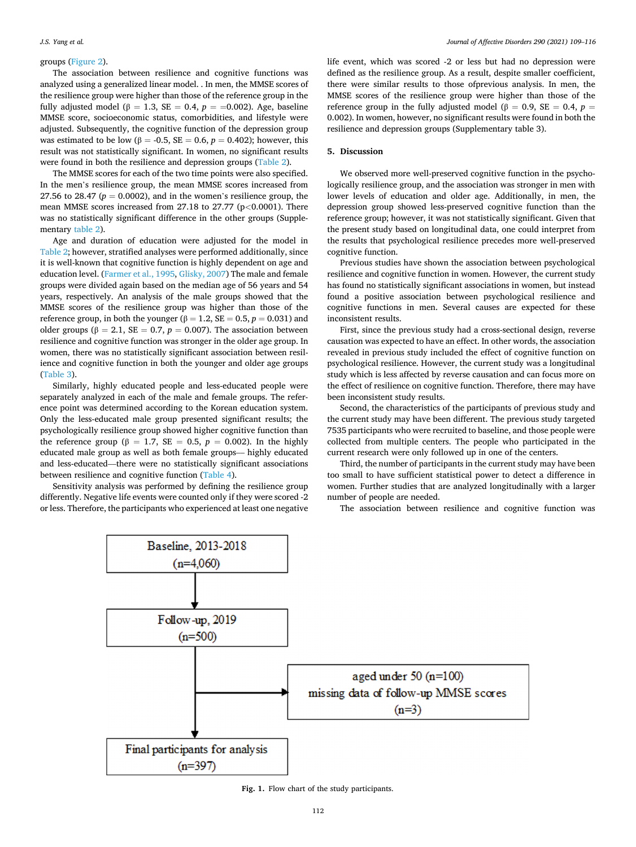#### groups ([Figure 2](#page-4-0)).

The association between resilience and cognitive functions was analyzed using a generalized linear model. . In men, the MMSE scores of the resilience group were higher than those of the reference group in the fully adjusted model ( $\beta = 1.3$ , SE = 0.4,  $p = =0.002$ ). Age, baseline MMSE score, socioeconomic status, comorbidities, and lifestyle were adjusted. Subsequently, the cognitive function of the depression group was estimated to be low ( $\beta$  = -0.5, SE = 0.6,  $p$  = 0.402); however, this result was not statistically significant. In women, no significant results were found in both the resilience and depression groups ([Table 2](#page-4-0)).

The MMSE scores for each of the two time points were also specified. In the men's resilience group, the mean MMSE scores increased from 27.56 to 28.47 ( $p = 0.0002$ ), and in the women's resilience group, the mean MMSE scores increased from 27.18 to 27.77 (p*<*0.0001). There was no statistically significant difference in the other groups (Supplementary [table 2\)](#page-4-0).

Age and duration of education were adjusted for the model in [Table 2](#page-4-0); however, stratified analyses were performed additionally, since it is well-known that cognitive function is highly dependent on age and education level. ([Farmer et al., 1995, Glisky, 2007\)](#page-6-0) The male and female groups were divided again based on the median age of 56 years and 54 years, respectively. An analysis of the male groups showed that the MMSE scores of the resilience group was higher than those of the reference group, in both the younger ( $\beta = 1.2$ , SE = 0.5,  $p = 0.031$ ) and older groups ( $\beta = 2.1$ , SE = 0.7,  $p = 0.007$ ). The association between resilience and cognitive function was stronger in the older age group. In women, there was no statistically significant association between resilience and cognitive function in both the younger and older age groups ([Table 3](#page-4-0)).

Similarly, highly educated people and less-educated people were separately analyzed in each of the male and female groups. The reference point was determined according to the Korean education system. Only the less-educated male group presented significant results; the psychologically resilience group showed higher cognitive function than the reference group ( $\beta = 1.7$ , SE = 0.5,  $p = 0.002$ ). In the highly educated male group as well as both female groups–– highly educated and less-educated––there were no statistically significant associations between resilience and cognitive function [\(Table 4\)](#page-5-0).

Sensitivity analysis was performed by defining the resilience group differently. Negative life events were counted only if they were scored -2 or less. Therefore, the participants who experienced at least one negative

life event, which was scored -2 or less but had no depression were defined as the resilience group. As a result, despite smaller coefficient, there were similar results to those ofprevious analysis. In men, the MMSE scores of the resilience group were higher than those of the reference group in the fully adjusted model ( $β = 0.9$ , SE = 0.4,  $p =$ 0.002). In women, however, no significant results were found in both the resilience and depression groups (Supplementary table 3).

#### **5. Discussion**

We observed more well-preserved cognitive function in the psychologically resilience group, and the association was stronger in men with lower levels of education and older age. Additionally, in men, the depression group showed less-preserved cognitive function than the reference group; however, it was not statistically significant. Given that the present study based on longitudinal data, one could interpret from the results that psychological resilience precedes more well-preserved cognitive function.

Previous studies have shown the association between psychological resilience and cognitive function in women. However, the current study has found no statistically significant associations in women, but instead found a positive association between psychological resilience and cognitive functions in men. Several causes are expected for these inconsistent results.

First, since the previous study had a cross-sectional design, reverse causation was expected to have an effect. In other words, the association revealed in previous study included the effect of cognitive function on psychological resilience. However, the current study was a longitudinal study which is less affected by reverse causation and can focus more on the effect of resilience on cognitive function. Therefore, there may have been inconsistent study results.

Second, the characteristics of the participants of previous study and the current study may have been different. The previous study targeted 7535 participants who were recruited to baseline, and those people were collected from multiple centers. The people who participated in the current research were only followed up in one of the centers.

Third, the number of participants in the current study may have been too small to have sufficient statistical power to detect a difference in women. Further studies that are analyzed longitudinally with a larger number of people are needed.

The association between resilience and cognitive function was



**Fig. 1.** Flow chart of the study participants.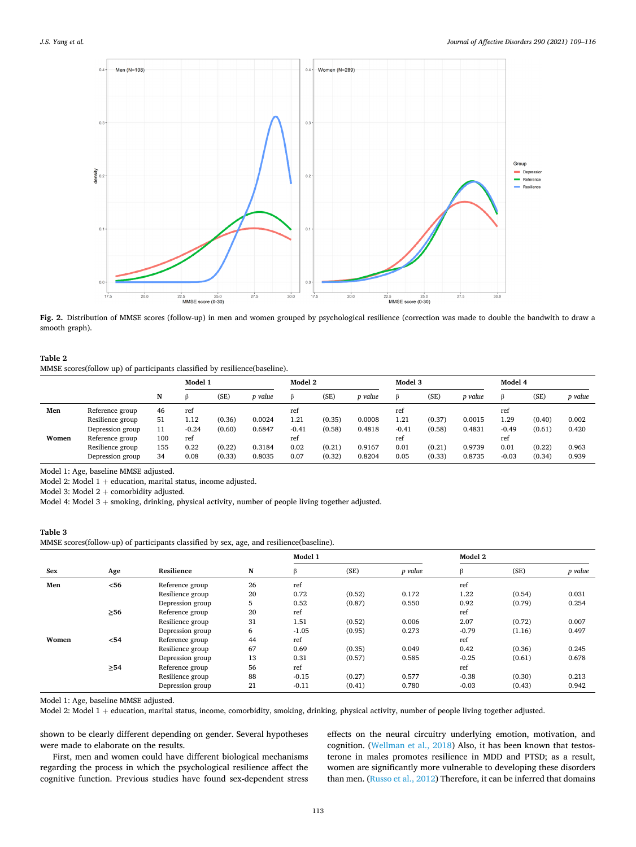<span id="page-4-0"></span>

**Fig. 2.** Distribution of MMSE scores (follow-up) in men and women grouped by psychological resilience (correction was made to double the bandwith to draw a smooth graph).

# **Table 2**  MMSE scores(follow up) of participants classified by resilience(baseline).

|       |                  |     | Model 1 |        | Model 2 |         |        | Model 3 |         |        | Model 4 |         |        |         |
|-------|------------------|-----|---------|--------|---------|---------|--------|---------|---------|--------|---------|---------|--------|---------|
|       |                  | N   |         | (SE)   | p value |         | (SE)   | p value | ß       | (SE)   | p value |         | (SE)   | p value |
| Men   | Reference group  | 46  | ref     |        |         | ref     |        |         | ref     |        |         | ref     |        |         |
|       | Resilience group | 51  | 1.12    | (0.36) | 0.0024  | 1.21    | (0.35) | 0.0008  | 1.21    | (0.37) | 0.0015  | 1.29    | (0.40) | 0.002   |
|       | Depression group | 11  | $-0.24$ | (0.60) | 0.6847  | $-0.41$ | (0.58) | 0.4818  | $-0.41$ | (0.58) | 0.4831  | $-0.49$ | (0.61) | 0.420   |
| Women | Reference group  | 100 | ref     |        |         | ref     |        |         | ref     |        |         | ref     |        |         |
|       | Resilience group | 155 | 0.22    | (0.22) | 0.3184  | 0.02    | (0.21) | 0.9167  | 0.01    | (0.21) | 0.9739  | 0.01    | (0.22) | 0.963   |
|       | Depression group | 34  | 0.08    | (0.33) | 0.8035  | 0.07    | (0.32) | 0.8204  | 0.05    | (0.33) | 0.8735  | $-0.03$ | (0.34) | 0.939   |

Model 1: Age, baseline MMSE adjusted.

Model 2: Model  $1 +$  education, marital status, income adjusted.

Model 3: Model  $2 +$  comorbidity adjusted.

Model 4: Model 3 + smoking, drinking, physical activity, number of people living together adjusted.

# **Table 3**  MMSE scores(follow-up) of participants classified by sex, age, and resilience(baseline).

|       |           |                  |    | Model 1 |        |         | Model 2 |        |         |  |
|-------|-----------|------------------|----|---------|--------|---------|---------|--------|---------|--|
| Sex   | Age       | Resilience       | N  | ß       | (SE)   | p value | ß       | (SE)   | p value |  |
| Men   | $<$ 56    | Reference group  | 26 | ref     |        |         | ref     |        |         |  |
|       |           | Resilience group | 20 | 0.72    | (0.52) | 0.172   | 1.22    | (0.54) | 0.031   |  |
|       |           | Depression group | 5  | 0.52    | (0.87) | 0.550   | 0.92    | (0.79) | 0.254   |  |
|       | $\geq 56$ | Reference group  | 20 | ref     |        |         | ref     |        |         |  |
|       |           | Resilience group | 31 | 1.51    | (0.52) | 0.006   | 2.07    | (0.72) | 0.007   |  |
|       |           | Depression group | 6  | $-1.05$ | (0.95) | 0.273   | $-0.79$ | (1.16) | 0.497   |  |
| Women | $54$      | Reference group  | 44 | ref     |        |         | ref     |        |         |  |
|       |           | Resilience group | 67 | 0.69    | (0.35) | 0.049   | 0.42    | (0.36) | 0.245   |  |
|       |           | Depression group | 13 | 0.31    | (0.57) | 0.585   | $-0.25$ | (0.61) | 0.678   |  |
|       | $\geq 54$ | Reference group  | 56 | ref     |        |         | ref     |        |         |  |
|       |           | Resilience group | 88 | $-0.15$ | (0.27) | 0.577   | $-0.38$ | (0.30) | 0.213   |  |
|       |           | Depression group | 21 | $-0.11$ | (0.41) | 0.780   | $-0.03$ | (0.43) | 0.942   |  |

Model 1: Age, baseline MMSE adjusted.

Model 2: Model 1 + education, marital status, income, comorbidity, smoking, drinking, physical activity, number of people living together adjusted.

shown to be clearly different depending on gender. Several hypotheses were made to elaborate on the results.

First, men and women could have different biological mechanisms regarding the process in which the psychological resilience affect the cognitive function. Previous studies have found sex-dependent stress effects on the neural circuitry underlying emotion, motivation, and cognition. ([Wellman et al., 2018](#page-6-0)) Also, it has been known that testosterone in males promotes resilience in MDD and PTSD; as a result, women are significantly more vulnerable to developing these disorders than men. ([Russo et al., 2012\)](#page-6-0) Therefore, it can be inferred that domains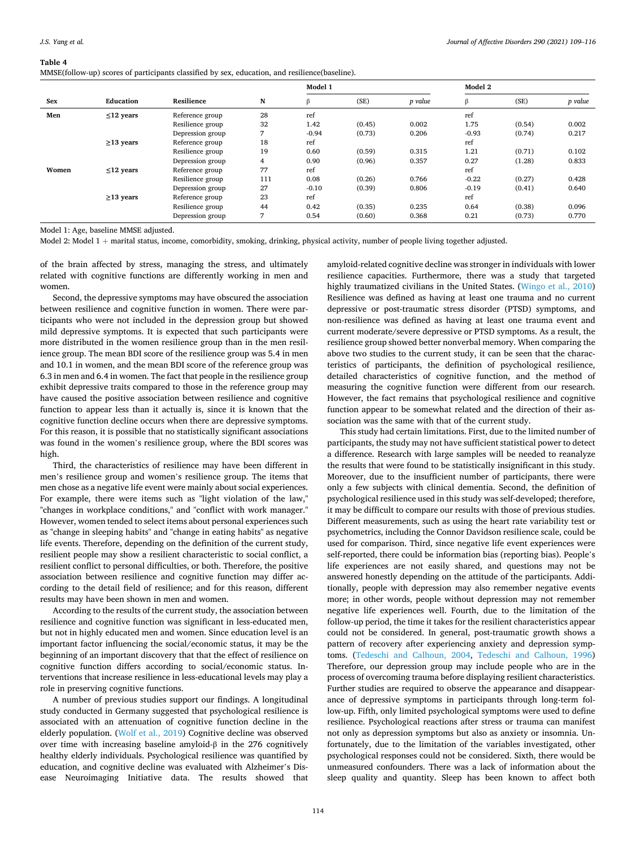#### <span id="page-5-0"></span>**Table 4**

| MMSE(follow-up) scores of participants classified by sex, education, and resilience(baseline). |  |  |  |  |
|------------------------------------------------------------------------------------------------|--|--|--|--|
|                                                                                                |  |  |  |  |

|       |                 |                  |     | Model 1 |        |         | Model 2 |        |         |
|-------|-----------------|------------------|-----|---------|--------|---------|---------|--------|---------|
| Sex   | Education       | Resilience       | N   | β       | (SE)   | p value | β       | (SE)   | p value |
| Men   | $\leq$ 12 years | Reference group  | 28  | ref     |        |         | ref     |        |         |
|       |                 | Resilience group | 32  | 1.42    | (0.45) | 0.002   | 1.75    | (0.54) | 0.002   |
|       |                 | Depression group | 7   | $-0.94$ | (0.73) | 0.206   | $-0.93$ | (0.74) | 0.217   |
|       | $\geq$ 13 years | Reference group  | 18  | ref     |        |         | ref     |        |         |
|       |                 | Resilience group | 19  | 0.60    | (0.59) | 0.315   | 1.21    | (0.71) | 0.102   |
|       |                 | Depression group | 4   | 0.90    | (0.96) | 0.357   | 0.27    | (1.28) | 0.833   |
| Women | $\leq$ 12 years | Reference group  | 77  | ref     |        |         | ref     |        |         |
|       |                 | Resilience group | 111 | 0.08    | (0.26) | 0.766   | $-0.22$ | (0.27) | 0.428   |
|       |                 | Depression group | 27  | $-0.10$ | (0.39) | 0.806   | $-0.19$ | (0.41) | 0.640   |
|       | $\geq$ 13 years | Reference group  | 23  | ref     |        |         | ref     |        |         |
|       |                 | Resilience group | 44  | 0.42    | (0.35) | 0.235   | 0.64    | (0.38) | 0.096   |
|       |                 | Depression group | ⇁   | 0.54    | (0.60) | 0.368   | 0.21    | (0.73) | 0.770   |

Model 1: Age, baseline MMSE adjusted.

Model 2: Model 1 + marital status, income, comorbidity, smoking, drinking, physical activity, number of people living together adjusted.

of the brain affected by stress, managing the stress, and ultimately related with cognitive functions are differently working in men and women.

Second, the depressive symptoms may have obscured the association between resilience and cognitive function in women. There were participants who were not included in the depression group but showed mild depressive symptoms. It is expected that such participants were more distributed in the women resilience group than in the men resilience group. The mean BDI score of the resilience group was 5.4 in men and 10.1 in women, and the mean BDI score of the reference group was 6.3 in men and 6.4 in women. The fact that people in the resilience group exhibit depressive traits compared to those in the reference group may have caused the positive association between resilience and cognitive function to appear less than it actually is, since it is known that the cognitive function decline occurs when there are depressive symptoms. For this reason, it is possible that no statistically significant associations was found in the women's resilience group, where the BDI scores was high.

Third, the characteristics of resilience may have been different in men's resilience group and women's resilience group. The items that men chose as a negative life event were mainly about social experiences. For example, there were items such as "light violation of the law," "changes in workplace conditions," and "conflict with work manager." However, women tended to select items about personal experiences such as "change in sleeping habits" and "change in eating habits" as negative life events. Therefore, depending on the definition of the current study, resilient people may show a resilient characteristic to social conflict, a resilient conflict to personal difficulties, or both. Therefore, the positive association between resilience and cognitive function may differ according to the detail field of resilience; and for this reason, different results may have been shown in men and women.

According to the results of the current study, the association between resilience and cognitive function was significant in less-educated men, but not in highly educated men and women. Since education level is an important factor influencing the social/economic status, it may be the beginning of an important discovery that that the effect of resilience on cognitive function differs according to social/economic status. Interventions that increase resilience in less-educational levels may play a role in preserving cognitive functions.

A number of previous studies support our findings. A longitudinal study conducted in Germany suggested that psychological resilience is associated with an attenuation of cognitive function decline in the elderly population. ([Wolf et al., 2019\)](#page-6-0) Cognitive decline was observed over time with increasing baseline amyloid-β in the 276 cognitively healthy elderly individuals. Psychological resilience was quantified by education, and cognitive decline was evaluated with Alzheimer's Disease Neuroimaging Initiative data. The results showed that amyloid-related cognitive decline was stronger in individuals with lower resilience capacities. Furthermore, there was a study that targeted highly traumatized civilians in the United States. [\(Wingo et al., 2010\)](#page-6-0) Resilience was defined as having at least one trauma and no current depressive or post-traumatic stress disorder (PTSD) symptoms, and non-resilience was defined as having at least one trauma event and current moderate/severe depressive or PTSD symptoms. As a result, the resilience group showed better nonverbal memory. When comparing the above two studies to the current study, it can be seen that the characteristics of participants, the definition of psychological resilience, detailed characteristics of cognitive function, and the method of measuring the cognitive function were different from our research. However, the fact remains that psychological resilience and cognitive function appear to be somewhat related and the direction of their association was the same with that of the current study.

This study had certain limitations. First, due to the limited number of participants, the study may not have sufficient statistical power to detect a difference. Research with large samples will be needed to reanalyze the results that were found to be statistically insignificant in this study. Moreover, due to the insufficient number of participants, there were only a few subjects with clinical dementia. Second, the definition of psychological resilience used in this study was self-developed; therefore, it may be difficult to compare our results with those of previous studies. Different measurements, such as using the heart rate variability test or psychometrics, including the Connor Davidson resilience scale, could be used for comparison. Third, since negative life event experiences were self-reported, there could be information bias (reporting bias). People's life experiences are not easily shared, and questions may not be answered honestly depending on the attitude of the participants. Additionally, people with depression may also remember negative events more; in other words, people without depression may not remember negative life experiences well. Fourth, due to the limitation of the follow-up period, the time it takes for the resilient characteristics appear could not be considered. In general, post-traumatic growth shows a pattern of recovery after experiencing anxiety and depression symptoms. [\(Tedeschi and Calhoun, 2004,](#page-6-0) [Tedeschi and Calhoun, 1996\)](#page-6-0) Therefore, our depression group may include people who are in the process of overcoming trauma before displaying resilient characteristics. Further studies are required to observe the appearance and disappearance of depressive symptoms in participants through long-term follow-up. Fifth, only limited psychological symptoms were used to define resilience. Psychological reactions after stress or trauma can manifest not only as depression symptoms but also as anxiety or insomnia. Unfortunately, due to the limitation of the variables investigated, other psychological responses could not be considered. Sixth, there would be unmeasured confounders. There was a lack of information about the sleep quality and quantity. Sleep has been known to affect both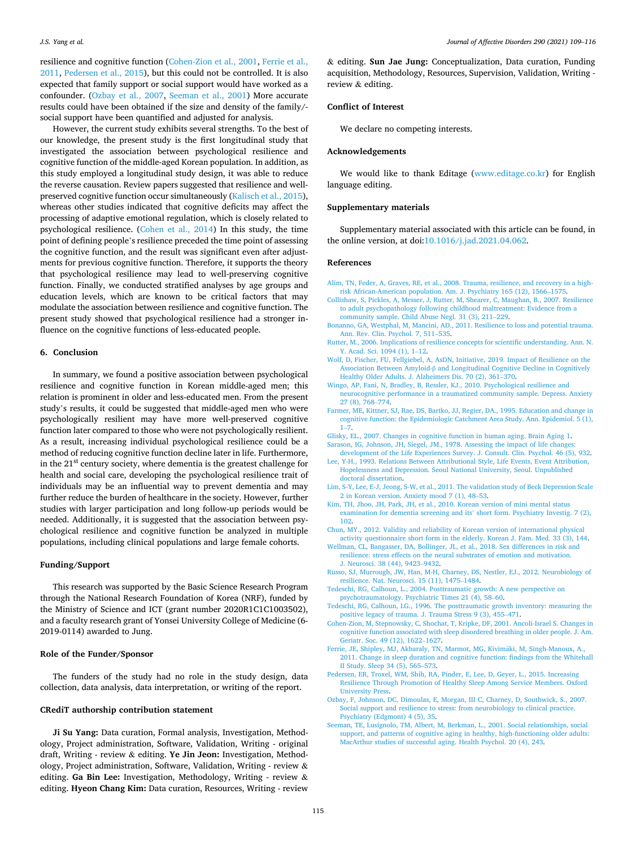<span id="page-6-0"></span>resilience and cognitive function (Cohen-Zion et al., 2001, Ferrie et al., 2011, Pedersen et al., 2015), but this could not be controlled. It is also expected that family support or social support would have worked as a confounder. (Ozbay et al., 2007, Seeman et al., 2001) More accurate results could have been obtained if the size and density of the family/social support have been quantified and adjusted for analysis.

However, the current study exhibits several strengths. To the best of our knowledge, the present study is the first longitudinal study that investigated the association between psychological resilience and cognitive function of the middle-aged Korean population. In addition, as this study employed a longitudinal study design, it was able to reduce the reverse causation. Review papers suggested that resilience and wellpreserved cognitive function occur simultaneously ([Kalisch et al., 2015](#page-7-0)), whereas other studies indicated that cognitive deficits may affect the processing of adaptive emotional regulation, which is closely related to psychological resilience. [\(Cohen et al., 2014\)](#page-7-0) In this study, the time point of defining people's resilience preceded the time point of assessing the cognitive function, and the result was significant even after adjustments for previous cognitive function. Therefore, it supports the theory that psychological resilience may lead to well-preserving cognitive function. Finally, we conducted stratified analyses by age groups and education levels, which are known to be critical factors that may modulate the association between resilience and cognitive function. The present study showed that psychological resilience had a stronger influence on the cognitive functions of less-educated people.

#### **6. Conclusion**

In summary, we found a positive association between psychological resilience and cognitive function in Korean middle-aged men; this relation is prominent in older and less-educated men. From the present study's results, it could be suggested that middle-aged men who were psychologically resilient may have more well-preserved cognitive function later compared to those who were not psychologically resilient. As a result, increasing individual psychological resilience could be a method of reducing cognitive function decline later in life. Furthermore, in the  $21<sup>st</sup>$  century society, where dementia is the greatest challenge for health and social care, developing the psychological resilience trait of individuals may be an influential way to prevent dementia and may further reduce the burden of healthcare in the society. However, further studies with larger participation and long follow-up periods would be needed. Additionally, it is suggested that the association between psychological resilience and cognitive function be analyzed in multiple populations, including clinical populations and large female cohorts.

# **Funding/Support**

This research was supported by the Basic Science Research Program through the National Research Foundation of Korea (NRF), funded by the Ministry of Science and ICT (grant number 2020R1C1C1003502), and a faculty research grant of Yonsei University College of Medicine (6- 2019-0114) awarded to Jung.

#### **Role of the Funder/Sponsor**

The funders of the study had no role in the study design, data collection, data analysis, data interpretation, or writing of the report.

#### **CRediT authorship contribution statement**

**Ji Su Yang:** Data curation, Formal analysis, Investigation, Methodology, Project administration, Software, Validation, Writing - original draft, Writing - review & editing. **Ye Jin Jeon:** Investigation, Methodology, Project administration, Software, Validation, Writing - review & editing. **Ga Bin Lee:** Investigation, Methodology, Writing - review & editing. **Hyeon Chang Kim:** Data curation, Resources, Writing - review

& editing. **Sun Jae Jung:** Conceptualization, Data curation, Funding acquisition, Methodology, Resources, Supervision, Validation, Writing review & editing.

#### **Conflict of Interest**

We declare no competing interests.

#### **Acknowledgements**

We would like to thank Editage ([www.editage.co.kr](http://www.editage.co.kr)) for English language editing.

#### **Supplementary materials**

Supplementary material associated with this article can be found, in the online version, at doi:[10.1016/j.jad.2021.04.062](https://doi.org/10.1016/j.jad.2021.04.062).

#### **References**

- [Alim, TN, Feder, A, Graves, RE, et al., 2008. Trauma, resilience, and recovery in a high](http://refhub.elsevier.com/S0165-0327(21)00394-3/sbref0001)[risk African-American population. Am. J. Psychiatry 165 \(12\), 1566](http://refhub.elsevier.com/S0165-0327(21)00394-3/sbref0001)–1575.
- [Collishaw, S, Pickles, A, Messer, J, Rutter, M, Shearer, C, Maughan, B., 2007. Resilience](http://refhub.elsevier.com/S0165-0327(21)00394-3/sbref0002)  [to adult psychopathology following childhood maltreatment: Evidence from a](http://refhub.elsevier.com/S0165-0327(21)00394-3/sbref0002)
- [community sample. Child Abuse Negl. 31 \(3\), 211](http://refhub.elsevier.com/S0165-0327(21)00394-3/sbref0002)–229. [Bonanno, GA, Westphal, M, Mancini, AD., 2011. Resilience to loss and potential trauma.](http://refhub.elsevier.com/S0165-0327(21)00394-3/sbref0003)
- [Ann. Rev. Clin. Psychol. 7, 511](http://refhub.elsevier.com/S0165-0327(21)00394-3/sbref0003)–535. [Rutter, M., 2006. Implications of resilience concepts for scientific understanding. Ann. N.](http://refhub.elsevier.com/S0165-0327(21)00394-3/sbref0004)
- [Y. Acad. Sci. 1094 \(1\), 1](http://refhub.elsevier.com/S0165-0327(21)00394-3/sbref0004)–12. [Wolf, D, Fischer, FU, Fellgiebel, A, AsDN, Initiative, 2019. Impact of Resilience on the](http://refhub.elsevier.com/S0165-0327(21)00394-3/sbref0005) Association Between Amyloid-β [and Longitudinal Cognitive Decline in Cognitively](http://refhub.elsevier.com/S0165-0327(21)00394-3/sbref0005) [Healthy Older Adults. J. Alzheimers Dis. 70 \(2\), 361](http://refhub.elsevier.com/S0165-0327(21)00394-3/sbref0005)–370.
- [Wingo, AP, Fani, N, Bradley, B, Ressler, KJ., 2010. Psychological resilience and](http://refhub.elsevier.com/S0165-0327(21)00394-3/sbref0006) [neurocognitive performance in a traumatized community sample. Depress. Anxiety](http://refhub.elsevier.com/S0165-0327(21)00394-3/sbref0006) [27 \(8\), 768](http://refhub.elsevier.com/S0165-0327(21)00394-3/sbref0006)–774.
- [Farmer, ME, Kittner, SJ, Rae, DS, Bartko, JJ, Regier, DA., 1995. Education and change in](http://refhub.elsevier.com/S0165-0327(21)00394-3/sbref0008)  [cognitive function: the Epidemiologic Catchment Area Study. Ann. Epidemiol. 5 \(1\),](http://refhub.elsevier.com/S0165-0327(21)00394-3/sbref0008)   $1 - 7$ .
- [Glisky, EL., 2007. Changes in cognitive function in human aging. Brain Aging 1](http://refhub.elsevier.com/S0165-0327(21)00394-3/sbref0009).
- Sarason, IG, Johnson, JH, Siegel, JM., 1978. Assessing the impact of life change [development of the Life Experiences Survey. J. Consult. Clin. Psychol. 46 \(5\), 932.](http://refhub.elsevier.com/S0165-0327(21)00394-3/sbref0010)
- [Lee, Y-H., 1993. Relations Between Attributional Style, Life Events, Event Attribution,](http://refhub.elsevier.com/S0165-0327(21)00394-3/sbref0011) [Hopelessness and Depression. Seoul National University, Seoul. Unpublished](http://refhub.elsevier.com/S0165-0327(21)00394-3/sbref0011)  [doctoral dissertation.](http://refhub.elsevier.com/S0165-0327(21)00394-3/sbref0011)
- [Lim, S-Y, Lee, E-J, Jeong, S-W, et al., 2011. The validation study of Beck Depression Scale](http://refhub.elsevier.com/S0165-0327(21)00394-3/sbref0012)  [2 in Korean version. Anxiety mood 7 \(1\), 48](http://refhub.elsevier.com/S0165-0327(21)00394-3/sbref0012)–53.
- [Kim, TH, Jhoo, JH, Park, JH, et al., 2010. Korean version of mini mental status](http://refhub.elsevier.com/S0165-0327(21)00394-3/sbref0013) [examination for dementia screening and its](http://refhub.elsevier.com/S0165-0327(21)00394-3/sbref0013)' short form. Psychiatry Investig. 7 (2), [102](http://refhub.elsevier.com/S0165-0327(21)00394-3/sbref0013).
- [Chun, MY., 2012. Validity and reliability of Korean version of international physical](http://refhub.elsevier.com/S0165-0327(21)00394-3/sbref0014)  [activity questionnaire short form in the elderly. Korean J. Fam. Med. 33 \(3\), 144](http://refhub.elsevier.com/S0165-0327(21)00394-3/sbref0014).
- [Wellman, CL, Bangasser, DA, Bollinger, JL, et al., 2018. Sex differences in risk and](http://refhub.elsevier.com/S0165-0327(21)00394-3/sbref0015) [resilience: stress effects on the neural substrates of emotion and motivation.](http://refhub.elsevier.com/S0165-0327(21)00394-3/sbref0015)  [J. Neurosci. 38 \(44\), 9423](http://refhub.elsevier.com/S0165-0327(21)00394-3/sbref0015)–9432.
- [Russo, SJ, Murrough, JW, Han, M-H, Charney, DS, Nestler, EJ., 2012. Neurobiology of](http://refhub.elsevier.com/S0165-0327(21)00394-3/sbref0016)  [resilience. Nat. Neurosci. 15 \(11\), 1475](http://refhub.elsevier.com/S0165-0327(21)00394-3/sbref0016)–1484.
- [Tedeschi, RG, Calhoun, L., 2004. Posttraumatic growth: A new perspective on](http://refhub.elsevier.com/S0165-0327(21)00394-3/sbref0017) [psychotraumatology. Psychiatric Times 21 \(4\), 58](http://refhub.elsevier.com/S0165-0327(21)00394-3/sbref0017)–60.
- [Tedeschi, RG, Calhoun, LG., 1996. The posttraumatic growth inventory: measuring the](http://refhub.elsevier.com/S0165-0327(21)00394-3/sbref0018)  [positive legacy of trauma. J. Trauma Stress 9 \(3\), 455](http://refhub.elsevier.com/S0165-0327(21)00394-3/sbref0018)–471.
- [Cohen-Zion, M, Stepnowsky, C, Shochat, T, Kripke, DF, 2001. Ancoli-Israel S. Changes in](http://refhub.elsevier.com/S0165-0327(21)00394-3/sbref0019)  [cognitive function associated with sleep disordered breathing in older people. J. Am.](http://refhub.elsevier.com/S0165-0327(21)00394-3/sbref0019)  [Geriatr. Soc. 49 \(12\), 1622](http://refhub.elsevier.com/S0165-0327(21)00394-3/sbref0019)–1627.
- [Ferrie, JE, Shipley, MJ, Akbaraly, TN, Marmot, MG, Kivim](http://refhub.elsevier.com/S0165-0327(21)00394-3/sbref0020)äki, M, Singh-Manoux, A., [2011. Change in sleep duration and cognitive function: findings from the Whitehall](http://refhub.elsevier.com/S0165-0327(21)00394-3/sbref0020)  [II Study. Sleep 34 \(5\), 565](http://refhub.elsevier.com/S0165-0327(21)00394-3/sbref0020)–573.
- [Pedersen, ER, Troxel, WM, Shih, RA, Pinder, E, Lee, D, Geyer, L., 2015. Increasing](http://refhub.elsevier.com/S0165-0327(21)00394-3/sbref0021) [Resilience Through Promotion of Healthy Sleep Among Service Members. Oxford](http://refhub.elsevier.com/S0165-0327(21)00394-3/sbref0021) [University Press](http://refhub.elsevier.com/S0165-0327(21)00394-3/sbref0021).
- [Ozbay, F, Johnson, DC, Dimoulas, E, Morgan, III C, Charney, D, Southwick, S., 2007.](http://refhub.elsevier.com/S0165-0327(21)00394-3/sbref0022)  [Social support and resilience to stress: from neurobiology to clinical practice.](http://refhub.elsevier.com/S0165-0327(21)00394-3/sbref0022) [Psychiatry \(Edgmont\) 4 \(5\), 35.](http://refhub.elsevier.com/S0165-0327(21)00394-3/sbref0022)
- [Seeman, TE, Lusignolo, TM, Albert, M, Berkman, L., 2001. Social relationships, social](http://refhub.elsevier.com/S0165-0327(21)00394-3/sbref0023)  [support, and patterns of cognitive aging in healthy, high-functioning older adults:](http://refhub.elsevier.com/S0165-0327(21)00394-3/sbref0023) [MacArthur studies of successful aging. Health Psychol. 20 \(4\), 243.](http://refhub.elsevier.com/S0165-0327(21)00394-3/sbref0023)